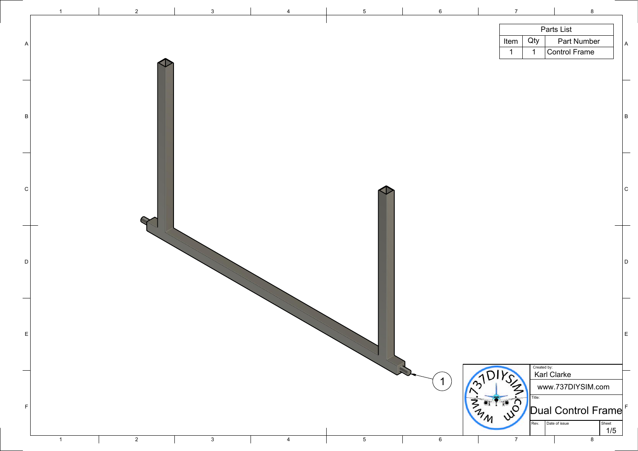

| $\overline{7}$ |                     | $\bf 8$                                    |              |                           |
|----------------|---------------------|--------------------------------------------|--------------|---------------------------|
|                |                     |                                            |              |                           |
|                |                     | Parts List                                 |              |                           |
| Item<br>1      | Qty<br>$\mathbf{1}$ | <b>Part Number</b><br><b>Control Frame</b> |              | $\boldsymbol{\mathsf{A}}$ |
|                |                     |                                            |              |                           |
|                |                     |                                            |              |                           |
|                |                     |                                            |              |                           |
|                |                     |                                            |              |                           |
|                |                     |                                            |              |                           |
|                |                     |                                            |              | $\sf B$                   |
|                |                     |                                            |              |                           |
|                |                     |                                            |              |                           |
|                |                     |                                            |              |                           |
|                |                     |                                            |              |                           |
|                |                     |                                            |              | $\mathsf C$               |
|                |                     |                                            |              |                           |
|                |                     |                                            |              |                           |
|                |                     |                                            |              |                           |
|                |                     |                                            |              |                           |
|                |                     |                                            |              |                           |
|                |                     |                                            |              | D                         |
|                |                     |                                            |              |                           |
|                |                     |                                            |              |                           |
|                |                     |                                            |              |                           |
|                |                     |                                            |              |                           |
|                |                     |                                            |              |                           |
|                |                     |                                            |              | E                         |
|                |                     |                                            |              |                           |
| DIRSIN STORY   | Created by:         |                                            |              |                           |
|                |                     | <b>Karl Clarke</b>                         |              |                           |
|                |                     | www.737DIYSIM.com                          |              |                           |
|                | Title:              |                                            |              |                           |
|                |                     | Dual Control Frame                         |              |                           |
|                | Rev.                | Date of issue                              | Sheet<br>1/5 |                           |
| $\overline{7}$ |                     | $\bf 8$                                    |              |                           |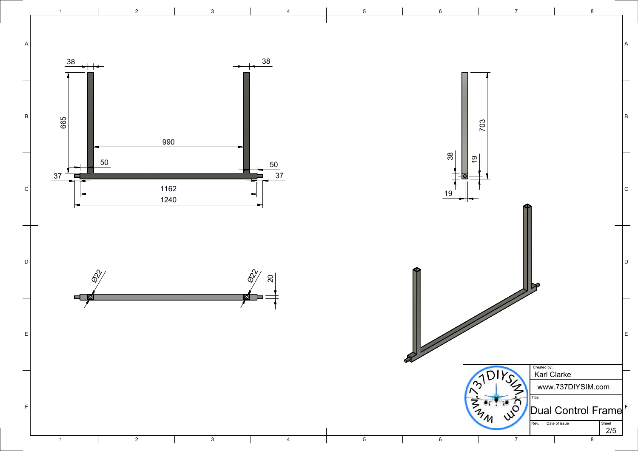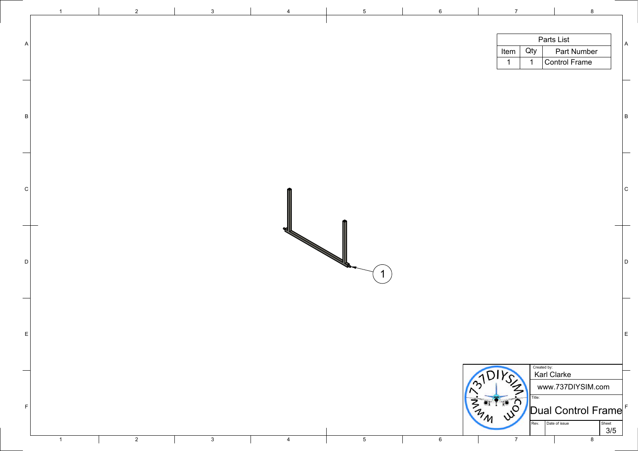|                          |                | $\overline{2}$ | $\mathbf{3}$ | $\overline{4}$ | $5\phantom{.0}$ | $6\overline{6}$ | $\overline{7}$<br>$8\phantom{1}$                                                       |                |
|--------------------------|----------------|----------------|--------------|----------------|-----------------|-----------------|----------------------------------------------------------------------------------------|----------------|
|                          |                |                |              |                |                 |                 | Parts List                                                                             |                |
|                          |                |                |              |                |                 |                 | Qty<br>Part Number<br>Item $ $                                                         | $\mathsf{A}$   |
|                          |                |                |              |                |                 |                 | Control Frame                                                                          |                |
|                          |                |                |              |                |                 |                 |                                                                                        |                |
|                          |                |                |              |                |                 |                 |                                                                                        |                |
|                          |                |                |              |                |                 |                 |                                                                                        |                |
| $\mathsf{B}$             |                |                |              |                |                 |                 |                                                                                        | $\overline{B}$ |
|                          |                |                |              |                |                 |                 |                                                                                        |                |
|                          |                |                |              |                |                 |                 |                                                                                        |                |
|                          |                |                |              |                |                 |                 |                                                                                        |                |
|                          |                |                |              |                |                 |                 |                                                                                        |                |
|                          |                |                |              |                |                 |                 |                                                                                        |                |
| $\vert$ C                |                |                |              |                |                 |                 |                                                                                        | $\mathsf{C}$   |
|                          |                |                |              |                |                 |                 |                                                                                        |                |
|                          |                |                |              |                |                 |                 |                                                                                        |                |
|                          |                |                |              | М              |                 |                 |                                                                                        |                |
|                          |                |                |              |                |                 |                 |                                                                                        |                |
| D                        |                |                |              |                |                 |                 |                                                                                        | $\Box$         |
|                          |                |                |              |                | И               |                 |                                                                                        |                |
|                          |                |                |              |                |                 |                 |                                                                                        |                |
| $\overline{\phantom{0}}$ |                |                |              |                |                 |                 |                                                                                        |                |
|                          |                |                |              |                |                 |                 |                                                                                        |                |
|                          |                |                |              |                |                 |                 |                                                                                        |                |
| E                        |                |                |              |                |                 |                 |                                                                                        | E              |
|                          |                |                |              |                |                 |                 |                                                                                        |                |
|                          |                |                |              |                |                 |                 |                                                                                        |                |
| $\overline{\phantom{0}}$ |                |                |              |                |                 |                 | Created by:<br>Karl Clarke                                                             |                |
|                          |                |                |              |                |                 |                 | Sim<br>www.737DIYSIM.com                                                               |                |
| F                        |                |                |              |                |                 |                 | Title:<br>$\begin{matrix} 2\pi & 0 \\ 2\pi & \sqrt{2} \\ 2\pi & \sqrt{2} \end{matrix}$ |                |
|                          |                |                |              |                |                 |                 | $\sqrt{\frac{1}{2}}$ Dual Control Frame                                                |                |
|                          |                |                |              |                |                 |                 | Rev.<br>Date of issue                                                                  | Sheet<br>3/5   |
|                          | $\overline{1}$ | $\overline{2}$ | $\mathbf{3}$ | $\overline{4}$ | $5\overline{)}$ | $6\overline{6}$ | $\overline{7}$<br>8                                                                    |                |

| _ |  |
|---|--|
| I |  |
|   |  |
|   |  |

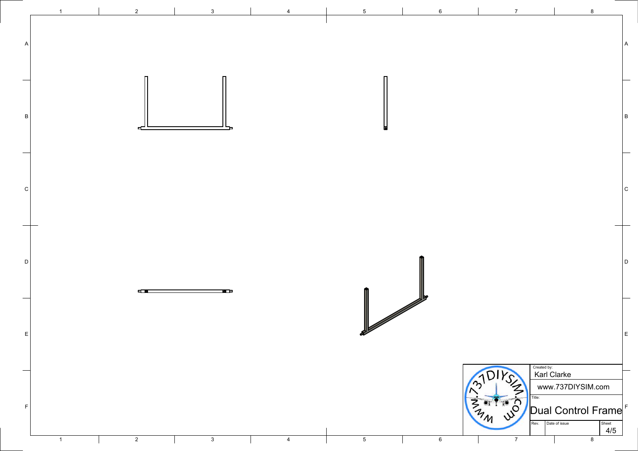|             |                         | $\overline{2}$ | $\mathbf{3}$ |                | -5              | $6^{\circ}$     |                                                                                                   | 8                                                                                |
|-------------|-------------------------|----------------|--------------|----------------|-----------------|-----------------|---------------------------------------------------------------------------------------------------|----------------------------------------------------------------------------------|
|             |                         |                |              |                |                 |                 |                                                                                                   |                                                                                  |
|             |                         |                |              |                |                 |                 |                                                                                                   |                                                                                  |
| B           |                         |                |              |                |                 |                 |                                                                                                   | B                                                                                |
|             |                         |                |              |                |                 |                 |                                                                                                   |                                                                                  |
| C           |                         |                |              |                |                 |                 |                                                                                                   | $\mathsf{C}$                                                                     |
|             |                         |                |              |                |                 |                 |                                                                                                   |                                                                                  |
| $\mathsf D$ |                         |                |              |                |                 |                 |                                                                                                   | D                                                                                |
|             |                         | 4000           | H            |                |                 |                 |                                                                                                   |                                                                                  |
| E           |                         |                |              |                |                 |                 |                                                                                                   | E                                                                                |
|             |                         |                |              |                |                 |                 | Created by:<br>Karl Clarke                                                                        |                                                                                  |
| $\mathsf F$ | $\overline{\mathbf{1}}$ |                |              |                |                 |                 | $\frac{2}{3}$<br>$\frac{3}{3}$<br>$\frac{3}{3}$<br>Title:<br>Rev. Date of issue<br>$\overline{7}$ | www.737DIYSIM.com<br>$^{\prime}$  Dual Control Frame $^{\prime}$<br>Sheet<br>4/5 |
|             |                         | $\overline{2}$ | $\mathbf{3}$ | $\overline{4}$ | $5\phantom{.0}$ | $6\overline{6}$ |                                                                                                   | 8                                                                                |

A